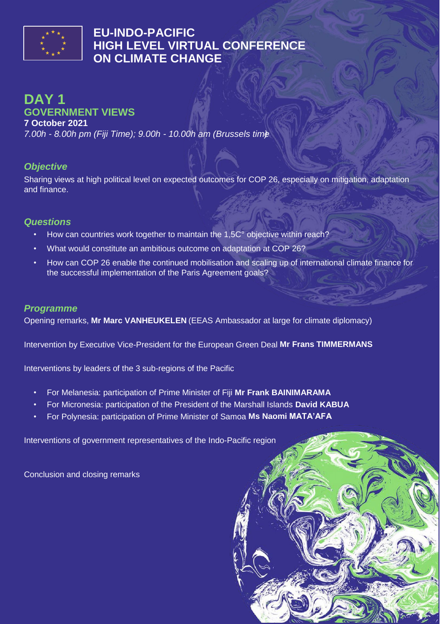

# **EU-INDO-PACIFIC HIGH LEVEL VIRTUAL CONFERENCE ON CLIMATE CHANGE**

# **DAY 1 GOVERNMENT VIEWS**

**7 October 2021**

*7.00h - 8.00h pm (Fiji Time); 9.00h - 10.00h am (Brussels time)*

#### *Objective*

Sharing views at high political level on expected outcomes for COP 26, especially on mitigation, adaptation and finance.

#### *Questions*

- How can countries work together to maintain the 1,5C° objective within reach?
- What would constitute an ambitious outcome on adaptation at COP 26?
- How can COP 26 enable the continued mobilisation and scaling up of international climate finance for the successful implementation of the Paris Agreement goals?

#### *Programme*

Opening remarks, **Mr Marc VANHEUKELEN** (EEAS Ambassador at large for climate diplomacy)

Intervention by Executive Vice-President for the European Green Deal **Mr Frans TIMMERMANS**

Interventions by leaders of the 3 sub-regions of the Pacific

- For Melanesia: participation of Prime Minister of Fiji **Mr Frank BAINIMARAMA**
- For Micronesia: participation of the President of the Marshall Islands **David KABUA**
- For Polynesia: participation of Prime Minister of Samoa **Ms Naomi MATA'AFA**

Interventions of government representatives of the Indo-Pacific region

Conclusion and closing remarks